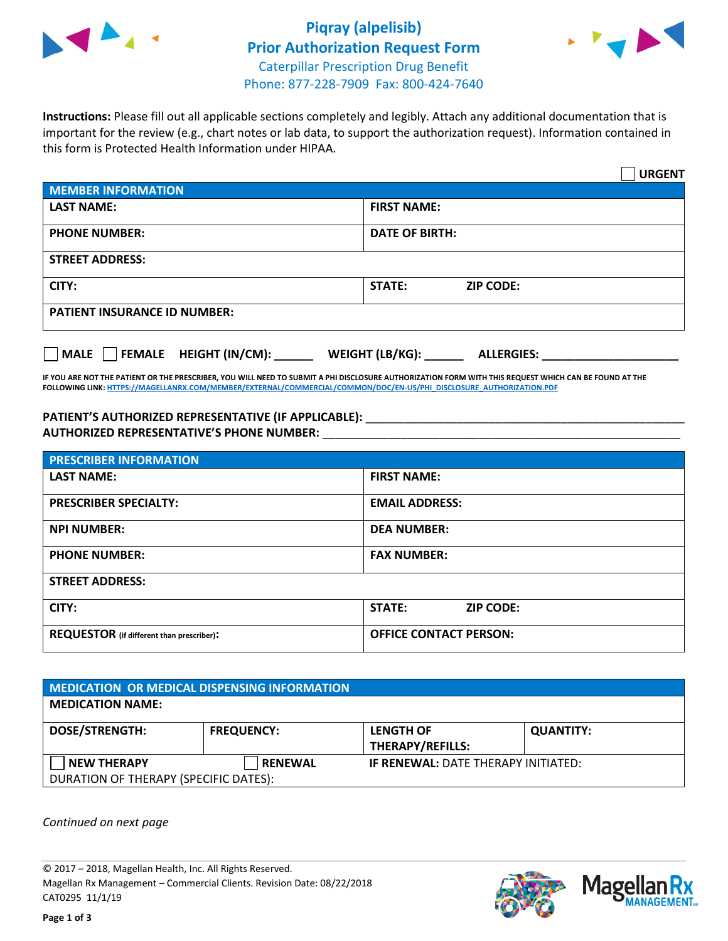

## **Piqray (alpelisib) Prior Authorization Request Form** Caterpillar Prescription Drug Benefit Phone: 877-228-7909 Fax: 800-424-7640



**Instructions:** Please fill out all applicable sections completely and legibly. Attach any additional documentation that is important for the review (e.g., chart notes or lab data, to support the authorization request). Information contained in this form is Protected Health Information under HIPAA.

|                                     | <b>URGENT</b>                          |  |  |  |
|-------------------------------------|----------------------------------------|--|--|--|
| <b>MEMBER INFORMATION</b>           |                                        |  |  |  |
| <b>LAST NAME:</b>                   | <b>FIRST NAME:</b>                     |  |  |  |
| <b>PHONE NUMBER:</b>                | <b>DATE OF BIRTH:</b>                  |  |  |  |
| <b>STREET ADDRESS:</b>              |                                        |  |  |  |
| CITY:                               | <b>ZIP CODE:</b><br>STATE:             |  |  |  |
| <b>PATIENT INSURANCE ID NUMBER:</b> |                                        |  |  |  |
| FEMALE HEIGHT (IN/CM):<br>   MALE   | WEIGHT (LB/KG): _<br><b>ALLERGIES:</b> |  |  |  |

**IF YOU ARE NOT THE PATIENT OR THE PRESCRIBER, YOU WILL NEED TO SUBMIT A PHI DISCLOSURE AUTHORIZATION FORM WITH THIS REQUEST WHICH CAN BE FOUND AT THE FOLLOWING LINK[: HTTPS://MAGELLANRX.COM/MEMBER/EXTERNAL/COMMERCIAL/COMMON/DOC/EN-US/PHI\\_DISCLOSURE\\_AUTHORIZATION.PDF](https://magellanrx.com/member/external/commercial/common/doc/en-us/PHI_Disclosure_Authorization.pdf)**

PATIENT'S AUTHORIZED REPRESENTATIVE (IF APPLICABLE): \_\_\_\_\_\_\_\_\_\_\_\_\_\_\_\_\_\_\_\_\_\_\_\_\_\_\_ **AUTHORIZED REPRESENTATIVE'S PHONE NUMBER:** \_\_\_\_\_\_\_\_\_\_\_\_\_\_\_\_\_\_\_\_\_\_\_\_\_\_\_\_\_\_\_\_\_\_\_\_\_\_\_\_\_\_\_\_\_\_\_\_\_\_\_\_\_\_\_

| <b>PRESCRIBER INFORMATION</b>             |                               |  |  |  |
|-------------------------------------------|-------------------------------|--|--|--|
| <b>LAST NAME:</b>                         | <b>FIRST NAME:</b>            |  |  |  |
| <b>PRESCRIBER SPECIALTY:</b>              | <b>EMAIL ADDRESS:</b>         |  |  |  |
| <b>NPI NUMBER:</b>                        | <b>DEA NUMBER:</b>            |  |  |  |
| <b>PHONE NUMBER:</b>                      | <b>FAX NUMBER:</b>            |  |  |  |
| <b>STREET ADDRESS:</b>                    |                               |  |  |  |
| CITY:                                     | STATE:<br><b>ZIP CODE:</b>    |  |  |  |
| REQUESTOR (if different than prescriber): | <b>OFFICE CONTACT PERSON:</b> |  |  |  |

| MEDICATION OR MEDICAL DISPENSING INFORMATION |                   |                                            |                  |  |  |
|----------------------------------------------|-------------------|--------------------------------------------|------------------|--|--|
| <b>MEDICATION NAME:</b>                      |                   |                                            |                  |  |  |
| <b>DOSE/STRENGTH:</b>                        | <b>FREQUENCY:</b> | <b>LENGTH OF</b>                           | <b>QUANTITY:</b> |  |  |
|                                              |                   | <b>THERAPY/REFILLS:</b>                    |                  |  |  |
| <b>NEW THERAPY</b>                           | <b>RENEWAL</b>    | <b>IF RENEWAL: DATE THERAPY INITIATED:</b> |                  |  |  |
| DURATION OF THERAPY (SPECIFIC DATES):        |                   |                                            |                  |  |  |

*Continued on next page*

© 2017 – 2018, Magellan Health, Inc. All Rights Reserved. Magellan Rx Management – Commercial Clients. Revision Date: 08/22/2018 CAT0295 11/1/19



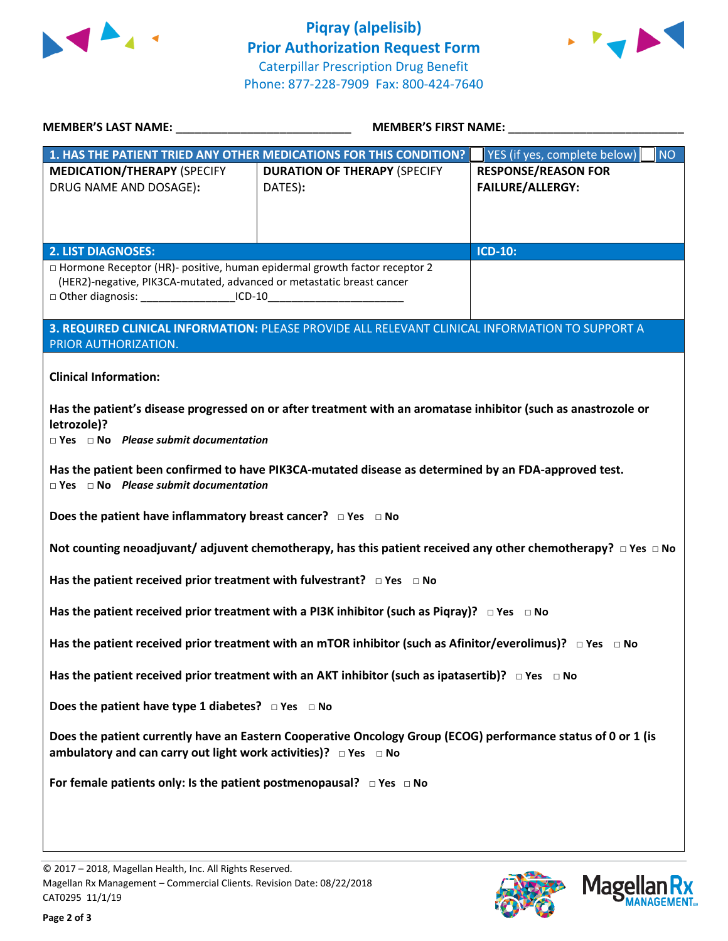



| MEMBER'S LAST NAME: ______________________________                                                                                                                                                                                      | MEMBER'S FIRST NAME: NAME                                                                       |                                    |  |  |
|-----------------------------------------------------------------------------------------------------------------------------------------------------------------------------------------------------------------------------------------|-------------------------------------------------------------------------------------------------|------------------------------------|--|--|
|                                                                                                                                                                                                                                         | 1. HAS THE PATIENT TRIED ANY OTHER MEDICATIONS FOR THIS CONDITION?                              | YES (if yes, complete below)<br>NO |  |  |
| <b>MEDICATION/THERAPY (SPECIFY</b>                                                                                                                                                                                                      | <b>DURATION OF THERAPY (SPECIFY</b>                                                             | <b>RESPONSE/REASON FOR</b>         |  |  |
| DRUG NAME AND DOSAGE):                                                                                                                                                                                                                  | DATES):                                                                                         | <b>FAILURE/ALLERGY:</b>            |  |  |
|                                                                                                                                                                                                                                         |                                                                                                 |                                    |  |  |
|                                                                                                                                                                                                                                         |                                                                                                 |                                    |  |  |
| <b>2. LIST DIAGNOSES:</b>                                                                                                                                                                                                               |                                                                                                 | <b>ICD-10:</b>                     |  |  |
| □ Hormone Receptor (HR)- positive, human epidermal growth factor receptor 2<br>(HER2)-negative, PIK3CA-mutated, advanced or metastatic breast cancer<br>□ Other diagnosis: _____________________ICD-10_________________________________ |                                                                                                 |                                    |  |  |
|                                                                                                                                                                                                                                         | 3. REQUIRED CLINICAL INFORMATION: PLEASE PROVIDE ALL RELEVANT CLINICAL INFORMATION TO SUPPORT A |                                    |  |  |
| PRIOR AUTHORIZATION.                                                                                                                                                                                                                    |                                                                                                 |                                    |  |  |
| <b>Clinical Information:</b>                                                                                                                                                                                                            |                                                                                                 |                                    |  |  |
| Has the patient's disease progressed on or after treatment with an aromatase inhibitor (such as anastrozole or<br>letrozole)?<br>$\Box$ Yes $\Box$ No Please submit documentation                                                       |                                                                                                 |                                    |  |  |
| Has the patient been confirmed to have PIK3CA-mutated disease as determined by an FDA-approved test.<br>$\Box$ Yes $\Box$ No Please submit documentation                                                                                |                                                                                                 |                                    |  |  |
| Does the patient have inflammatory breast cancer? $\Box$ Yes $\Box$ No                                                                                                                                                                  |                                                                                                 |                                    |  |  |
| Not counting neoadjuvant/adjuvent chemotherapy, has this patient received any other chemotherapy? $\Box$ Yes $\Box$ No                                                                                                                  |                                                                                                 |                                    |  |  |
| Has the patient received prior treatment with fulvestrant? $\Box$ Yes $\Box$ No                                                                                                                                                         |                                                                                                 |                                    |  |  |
| Has the patient received prior treatment with a PI3K inhibitor (such as Piqray)? $\Box$ Yes $\Box$ No                                                                                                                                   |                                                                                                 |                                    |  |  |
| Has the patient received prior treatment with an mTOR inhibitor (such as Afinitor/everolimus)? $\Box$ Yes $\Box$ No                                                                                                                     |                                                                                                 |                                    |  |  |
| Has the patient received prior treatment with an AKT inhibitor (such as ipatasertib)? $\Box$ Yes $\Box$ No                                                                                                                              |                                                                                                 |                                    |  |  |
| Does the patient have type 1 diabetes? $\Box$ Yes $\Box$ No                                                                                                                                                                             |                                                                                                 |                                    |  |  |
| Does the patient currently have an Eastern Cooperative Oncology Group (ECOG) performance status of 0 or 1 (is<br>ambulatory and can carry out light work activities)? $\Box$ Yes $\Box$ No                                              |                                                                                                 |                                    |  |  |
| For female patients only: Is the patient postmenopausal? $\Box$ Yes $\Box$ No                                                                                                                                                           |                                                                                                 |                                    |  |  |
|                                                                                                                                                                                                                                         |                                                                                                 |                                    |  |  |
|                                                                                                                                                                                                                                         |                                                                                                 |                                    |  |  |